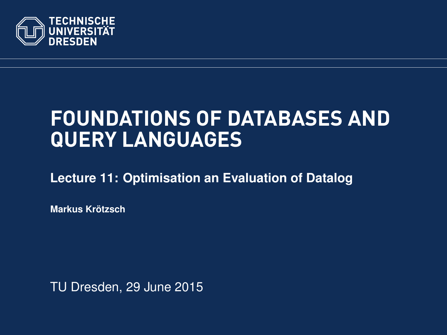<span id="page-0-0"></span>

# **FOUNDATIONS OF DATABASES AND QUERY LANGUAGES**

**[Lecture 11: Optimisation an Evaluation of Datalog](https://ddll.inf.tu-dresden.de/web/Database_Theory_%28SS2016%29/en)**

**[Markus Krotzsch](http://korrekt.org/) ¨**

TU Dresden, 29 June 2015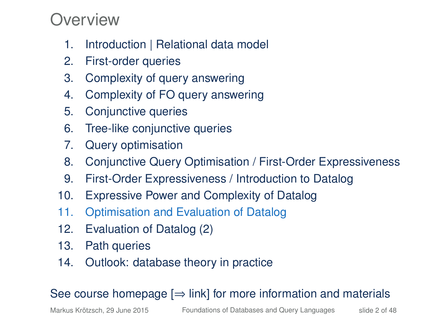#### Overview

- 1. Introduction | Relational data model
- 2. First-order queries
- 3. Complexity of query answering
- 4. Complexity of FO query answering
- 5. Conjunctive queries
- 6. Tree-like conjunctive queries
- 7. Query optimisation
- 8. Conjunctive Query Optimisation / First-Order Expressiveness
- 9. First-Order Expressiveness / Introduction to Datalog
- 10. Expressive Power and Complexity of Datalog
- 11. Optimisation and Evaluation of Datalog
- 12. Evaluation of Datalog (2)
- 13. Path queries
- 14. Outlook: database theory in practice

#### See course homepage  $[\Rightarrow]$  link] for more information and materials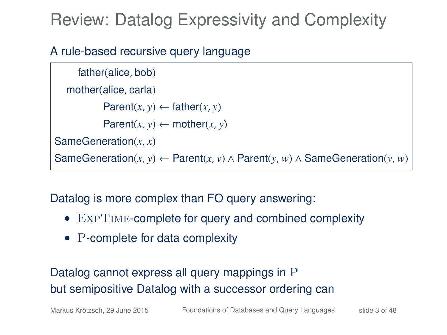# Review: Datalog Expressivity and Complexity

#### A rule-based recursive query language

```
father(alice, bob)
  mother(alice, carla)
           Parent(x, y) \leftarrow father(x, y)Parent(x, y) \leftarrow mother(x, y)SameGeneration(x, x)
SameGeneration(x, y) ← Parent(x, v) ∧ Parent(y, w) ∧ SameGeneration(v, w)
```
Datalog is more complex than FO query answering:

- EXPTIME-complete for query and combined complexity
- P-complete for data complexity

Datalog cannot express all query mappings in P but semipositive Datalog with a successor ordering can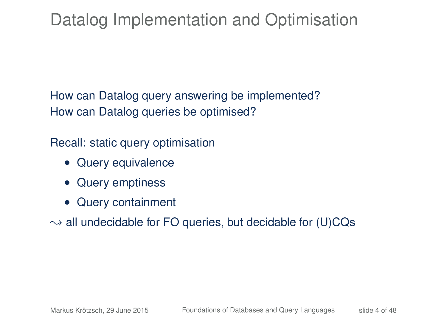# Datalog Implementation and Optimisation

How can Datalog query answering be implemented? How can Datalog queries be optimised?

Recall: static query optimisation

- Query equivalence
- Query emptiness
- Query containment

 $\rightarrow$  all undecidable for FO queries, but decidable for (U)CQs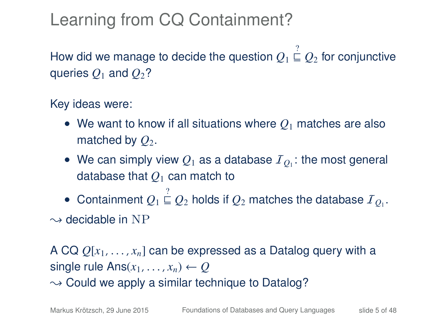# Learning from CQ Containment?

How did we manage to decide the question  $Q_1 \stackrel{?}{\sqsubseteq} Q_2$  for conjunctive queries  $Q_1$  and  $Q_2$ ?

Key ideas were:

- We want to know if all situations where *Q*<sup>1</sup> matches are also matched by  $Q_2$ .
- We can simply view  $Q_1$  as a database  $\mathcal{I}_{Q_1}$ : the most general database that *Q*<sup>1</sup> can match to
- Containment  $Q_1 \stackrel{?}{\sqsubseteq} Q_2$  holds if  $Q_2$  matches the database  ${\cal I}_{Q_1}$ .

 $\rightarrow$  decidable in NP

A CQ *<sup>Q</sup>*[*x*1, . . . , *<sup>x</sup>n*] can be expressed as a Datalog query with a single rule  $Ans(x_1, \ldots, x_n) \leftarrow Q$  $\sim$  Could we apply a similar technique to Datalog?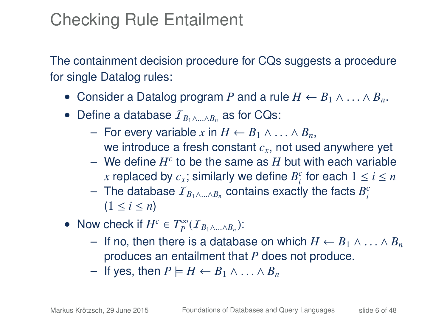# Checking Rule Entailment

The containment decision procedure for CQs suggests a procedure for single Datalog rules:

- Consider a Datalog program P and a rule  $H \leftarrow B_1 \wedge \ldots \wedge B_n$ .
- Define a database  $I_{B_1 \wedge A_2 B_3}$  as for CQs:
	- For every variable *<sup>x</sup>* in *<sup>H</sup>* <sup>←</sup> *<sup>B</sup>*<sup>1</sup> <sup>∧</sup> . . . <sup>∧</sup> *<sup>B</sup>n*, we introduce a fresh constant *cx*, not used anywhere yet
	- $-$  We define  $H^c$  to be the same as  $H$  but with each variable *x* replaced by  $c_x$ ; similarly we define  $B_i^c$  for each  $1 \le i \le n$
	- $-$  The database  $I_{B_1 \wedge ... \wedge B_n}$  contains exactly the facts  $B_i^c$  $(1 \le i \le n)$
- Now check if  $H^c \in T_P^{\infty}(I_{B_1 \wedge ... \wedge B_n})$ :
	- If no, then there is a database on which *<sup>H</sup>* <sup>←</sup> *<sup>B</sup>*<sup>1</sup> <sup>∧</sup> . . . <sup>∧</sup> *<sup>B</sup><sup>n</sup>* produces an entailment that *P* does not produce.
	- $-$  If yes, then  $P$   $\models H ← B_1 ∧ … ∧ B_n$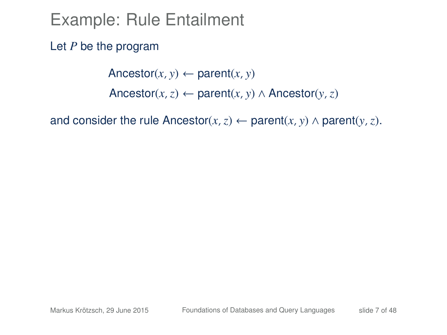Let *P* be the program

Ancestor( $x$ ,  $y$ )  $\leftarrow$  parent( $x$ ,  $y$ ) Ancestor(*x*, *z*) ← parent(*x*, *y*) ∧ Ancestor(*y*, *z*)

and consider the rule Ancestor( $x, z$ ) ← parent( $x, y$ ) ∧ parent( $y, z$ ).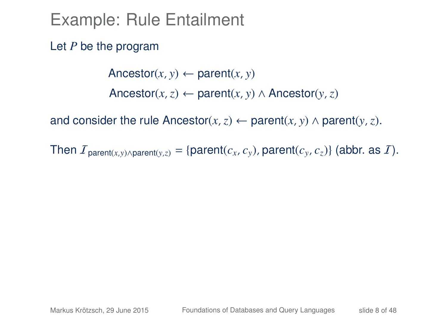Let *P* be the program

Ancestor( $x$ ,  $y$ )  $\leftarrow$  parent( $x$ ,  $y$ ) Ancestor(*x*, *z*) ← parent(*x*, *y*) ∧ Ancestor(*y*, *z*)

and consider the rule Ancestor( $x$ ,  $z$ ) ← parent( $x$ ,  $y$ ) ∧ parent( $y$ ,  $z$ ).

Then  $I_{\text{parent}(x,y) \land \text{parent}(y,z)} = \{\text{parent}(c_x, c_y), \text{parent}(c_y, c_z)\}\$  (abbr. as  $I$ ).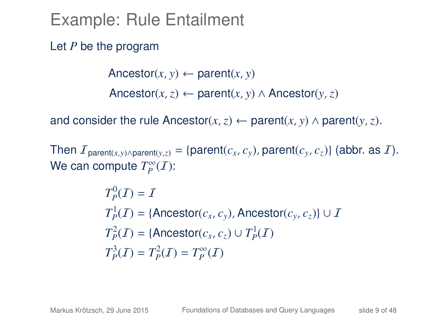Let *P* be the program

Ancestor( $x$ ,  $y$ )  $\leftarrow$  parent( $x$ ,  $y$ ) Ancestor(*x*, *z*) ← parent(*x*, *y*) ∧ Ancestor(*y*, *z*)

and consider the rule Ancestor( $x$ ,  $z$ ) ← parent( $x$ ,  $y$ ) ∧ parent( $y$ ,  $z$ ).

Then  $I_{\text{parent}(x,y) \land \text{parent}(y,z)} = \{\text{parent}(c_x, c_y), \text{parent}(c_y, c_z)\}\$  (abbr. as  $I$ ). We can compute  $T_P^{\infty}(I)$ :

$$
T_p^0(\mathcal{I}) = \mathcal{I}
$$
  
\n
$$
T_p^1(\mathcal{I}) = \{\text{Ancestor}(c_x, c_y), \text{Ancestor}(c_y, c_z)\} \cup \mathcal{I}
$$
  
\n
$$
T_p^2(\mathcal{I}) = \{\text{Ancestor}(c_x, c_z) \cup T_p^1(\mathcal{I})
$$
  
\n
$$
T_p^3(\mathcal{I}) = T_p^2(\mathcal{I}) = T_p^\infty(\mathcal{I})
$$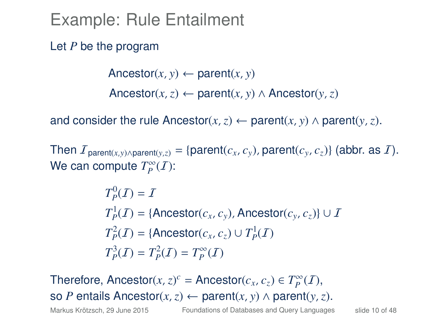Let *P* be the program

 $\text{Ancestor}(x, y) \leftarrow \text{parent}(x, y)$ Ancestor(*x*, *z*) ← parent(*x*, *y*) ∧ Ancestor(*y*, *z*)

and consider the rule Ancestor( $x$ ,  $z$ ) ← parent( $x$ ,  $y$ ) ∧ parent( $y$ ,  $z$ ).

Then  $I_{\text{parent}(x,y) \land \text{parent}(y,z)} = \{\text{parent}(c_x, c_y), \text{parent}(c_y, c_z)\}\$  (abbr. as  $I$ ). We can compute  $T_P^{\infty}(I)$ :

$$
T_p^0(\mathcal{I}) = \mathcal{I}
$$
  
\n
$$
T_p^1(\mathcal{I}) = \{\text{Ancestor}(c_x, c_y), \text{Ancestor}(c_y, c_z)\} \cup \mathcal{I}
$$
  
\n
$$
T_p^2(\mathcal{I}) = \{\text{Ancestor}(c_x, c_z) \cup T_p^1(\mathcal{I})
$$
  
\n
$$
T_p^3(\mathcal{I}) = T_p^2(\mathcal{I}) = T_p^\infty(\mathcal{I})
$$

Therefore, Ancestor( $x$ ,  $z$ )<sup>c</sup> = Ancestor( $c$ <sub>*x*</sub>,  $c$ <sub>*z*</sub>)  $\in T_P^{\infty}(I)$ , so *P* entails Ancestor(*x*, *z*)  $\leftarrow$  parent(*x*, *y*)  $\wedge$  parent(*y*, *z*).

Markus Krötzsch, 29 June 2015 [Foundations of Databases and Query Languages](#page-0-0) slide 10 of 48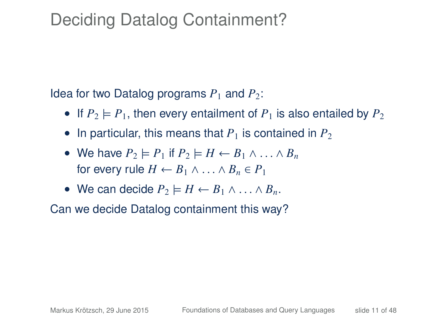# Deciding Datalog Containment?

Idea for two Datalog programs  $P_1$  and  $P_2$ :

- If  $P_2 \models P_1$ , then every entailment of  $P_1$  is also entailed by  $P_2$
- In particular, this means that  $P_1$  is contained in  $P_2$
- We have  $P_2 \models P_1$  if  $P_2 \models H \leftarrow B_1 \land \dots \land B_n$ for every rule  $H \leftarrow B_1 \wedge \ldots \wedge B_n \in P_1$
- We can decide  $P_2 \models H \leftarrow B_1 \land \dots \land B_n$ .

Can we decide Datalog containment this way?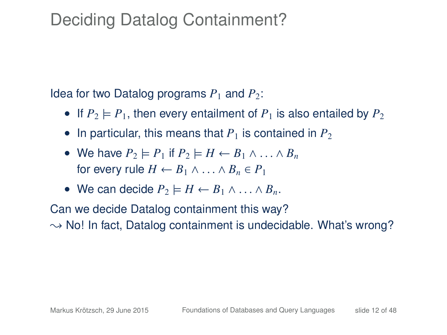# Deciding Datalog Containment?

Idea for two Datalog programs  $P_1$  and  $P_2$ :

- If  $P_2 \models P_1$ , then every entailment of  $P_1$  is also entailed by  $P_2$
- In particular, this means that  $P_1$  is contained in  $P_2$
- We have  $P_2 \models P_1$  if  $P_2 \models H \leftarrow B_1 \land \dots \land B_n$ for every rule  $H \leftarrow B_1 \wedge \ldots \wedge B_n \in P_1$
- We can decide  $P_2 \models H \leftarrow B_1 \land \dots \land B_n$ .

Can we decide Datalog containment this way?  $\rightarrow$  No! In fact, Datalog containment is undecidable. What's wrong?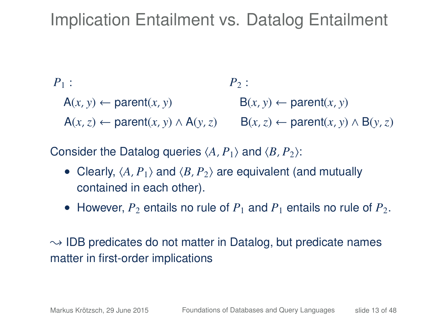# Implication Entailment vs. Datalog Entailment

$$
P_1:
$$
  
\n
$$
A(x, y) \leftarrow parent(x, y)
$$
  
\n
$$
A(x, z) \leftarrow parent(x, y) \land A(y, z)
$$
  
\n
$$
B(x, z) \leftarrow parent(x, y) \land B(y, z)
$$
  
\n
$$
B(x, z) \leftarrow parent(x, y) \land B(y, z)
$$

Consider the Datalog queries  $\langle A, P_1 \rangle$  and  $\langle B, P_2 \rangle$ :

- Clearly,  $\langle A, P_1 \rangle$  and  $\langle B, P_2 \rangle$  are equivalent (and mutually contained in each other).
- However,  $P_2$  entails no rule of  $P_1$  and  $P_1$  entails no rule of  $P_2$ .

#### $\sim$  IDB predicates do not matter in Datalog, but predicate names matter in first-order implications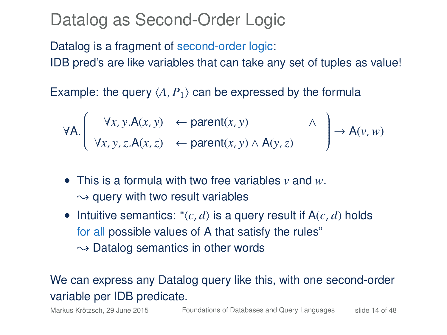#### Datalog as Second-Order Logic

Datalog is a fragment of second-order logic: IDB pred's are like variables that can take any set of tuples as value!

Example: the query  $\langle A, P_1 \rangle$  can be expressed by the formula

$$
\forall A. \left( \begin{array}{ccc} \forall x, y. A(x, y) & \leftarrow parent(x, y) & \wedge \\ \forall x, y, z. A(x, z) & \leftarrow parent(x, y) \wedge A(y, z) \end{array} \right) \rightarrow A(y, w)
$$

- This is a formula with two free variables *v* and *w*.  $\rightarrow$  query with two result variables
- Intuitive semantics: " $\langle c, d \rangle$  is a query result if A( $c, d$ ) holds for all possible values of A that satisfy the rules"  $\rightarrow$  Datalog semantics in other words

#### We can express any Datalog query like this, with one second-order variable per IDB predicate.

Markus Krötzsch, 29 June 2015 [Foundations of Databases and Query Languages](#page-0-0) slide 14 of 48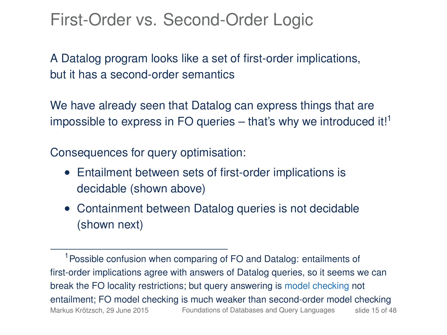#### First-Order vs. Second-Order Logic

A Datalog program looks like a set of first-order implications, but it has a second-order semantics

We have already seen that Datalog can express things that are impossible to express in FO queries  $-$  that's why we introduced it!<sup>1</sup>

Consequences for query optimisation:

- Entailment between sets of first-order implications is decidable (shown above)
- Containment between Datalog queries is not decidable (shown next)

<sup>&</sup>lt;sup>1</sup> Possible confusion when comparing of FO and Datalog: entailments of first-order implications agree with answers of Datalog queries, so it seems we can break the FO locality restrictions; but query answering is model checking not entailment; FO model checking is much weaker than second-order model checking Markus Krötzsch, 29 June 2015 [Foundations of Databases and Query Languages](#page-0-0) slide 15 of 48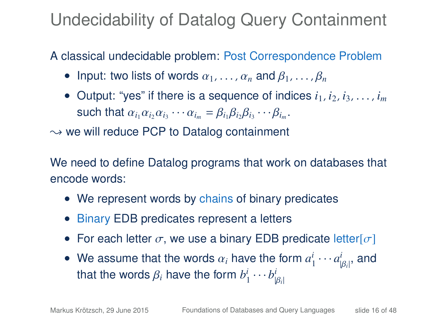# Undecidability of Datalog Query Containment

A classical undecidable problem: Post Correspondence Problem

- Input: two lists of words  $\alpha_1, \ldots, \alpha_n$  and  $\beta_1, \ldots, \beta_n$
- Output: "yes" if there is a sequence of indices  $i_1, i_2, i_3, \ldots, i_m$ such that  $\alpha_{i_1}\alpha_{i_2}\alpha_{i_3}\cdots\alpha_{i_m} = \beta_{i_1}\beta_{i_2}\beta_{i_3}\cdots\beta_{i_m}$ .

 $\rightarrow$  we will reduce PCP to Datalog containment

We need to define Datalog programs that work on databases that encode words:

- We represent words by chains of binary predicates
- Binary EDB predicates represent a letters
- For each letter  $\sigma$ , we use a binary EDB predicate letter  $[\sigma]$
- We assume that the words  $\alpha_i$  have the form  $a_1^i \cdots a_{|\beta_i|}^i$ , and that the words  $\beta_i$ , have the form  $b^i \cdots b^i$ | that the words  $\beta_i$  have the form  $b^i_1 \cdots b^i_{|\beta_i|}$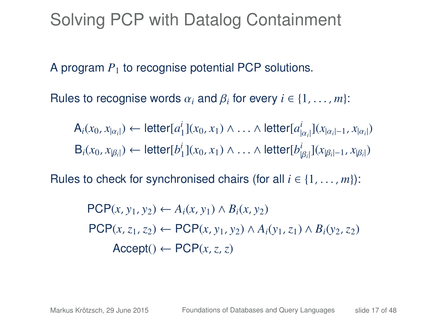### Solving PCP with Datalog Containment

A program *P*<sup>1</sup> to recognise potential PCP solutions.

Rules to recognise words  $\alpha_i$  and  $\beta_i$  for every  $i \in \{1, \ldots, m\}$ :

$$
A_i(x_0, x_{|\alpha_i|}) \leftarrow letter[a_1^i](x_0, x_1) \wedge \ldots \wedge letter[a_{|\alpha_i|}^i](x_{|\alpha_i|-1}, x_{|\alpha_i|})
$$
  
\n
$$
B_i(x_0, x_{|\beta_i|}) \leftarrow letter[b_1^i](x_0, x_1) \wedge \ldots \wedge letter[b_{|\beta_i|}^i](x_{|\beta_i|-1}, x_{|\beta_i|})
$$

Rules to check for synchronised chairs (for all  $i \in \{1, \ldots, m\}$ ):

$$
PCP(x, y_1, y_2) \leftarrow A_i(x, y_1) \land B_i(x, y_2)
$$
  
\n
$$
PCP(x, z_1, z_2) \leftarrow PCP(x, y_1, y_2) \land A_i(y_1, z_1) \land B_i(y_2, z_2)
$$
  
\n
$$
Accept() \leftarrow PCP(x, z, z)
$$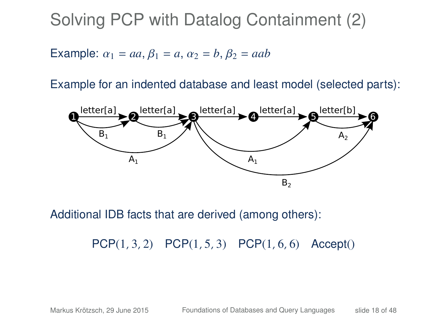Solving PCP with Datalog Containment (2)

Example:  $\alpha_1 = aa, \beta_1 = a, \alpha_2 = b, \beta_2 = aab$ 

Example for an indented database and least model (selected parts):



Additional IDB facts that are derived (among others):

PCP(1, 3, 2) PCP(1, 5, 3) PCP(1, 6, 6) Accept()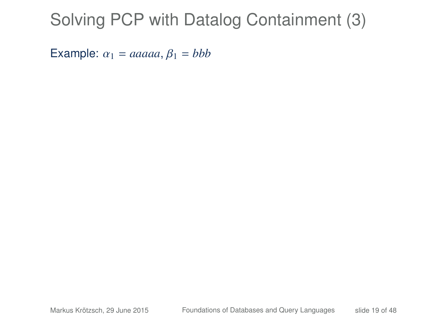# Solving PCP with Datalog Containment (3)

Example:  $\alpha_1 = aaaaa, \beta_1 = bbb$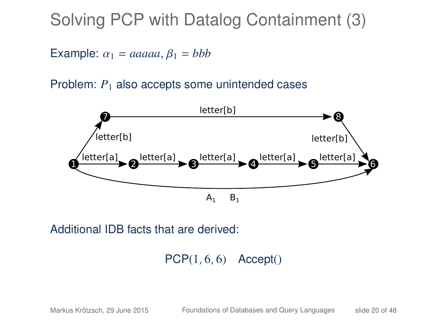### Solving PCP with Datalog Containment (3)

Example:  $\alpha_1 = aaaaa, \beta_1 = bbb$ 

Problem:  $P_1$  also accepts some unintended cases



Additional IDB facts that are derived:

 $PCP(1, 6, 6)$  Accept()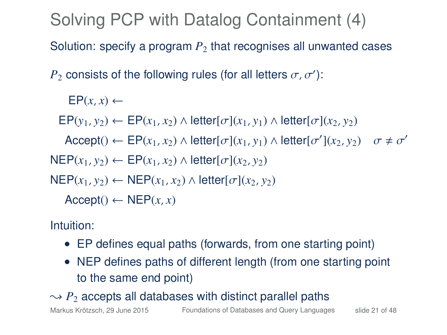Solving PCP with Datalog Containment (4)

Solution: specify a program  $P<sub>2</sub>$  that recognises all unwanted cases

 $P_2$  consists of the following rules (for all letters  $\sigma$ ,  $\sigma'$ ):

 $EP(x, x) \leftarrow$  $EP(y_1, y_2) \leftarrow EP(x_1, x_2) \wedge \text{letter}[\sigma](x_1, y_1) \wedge \text{letter}[\sigma](x_2, y_2)$  $\text{Accept}() \leftarrow \text{EP}(x_1, x_2) \land \text{letter}[\sigma](x_1, y_1) \land \text{letter}[\sigma'(x_2, y_2) \quad \sigma \neq \sigma'$  $NEP(x_1, y_2) \leftarrow EP(x_1, x_2) \wedge letter[\sigma](x_2, y_2)$  $NEP(x_1, y_2) \leftarrow NEP(x_1, x_2) \wedge \text{letter}[\sigma](x_2, y_2)$  $Accept() \leftarrow NEP(x, x)$ 

Intuition:

- EP defines equal paths (forwards, from one starting point)
- NEP defines paths of different length (from one starting point to the same end point)

 $\rightarrow$  *P*<sub>2</sub> accepts all databases with distinct parallel paths

Markus Krötzsch, 29 June 2015 [Foundations of Databases and Query Languages](#page-0-0) slide 21 of 48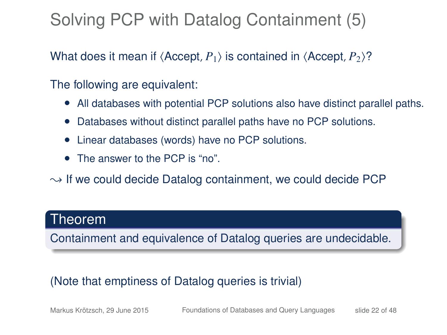# Solving PCP with Datalog Containment (5)

What does it mean if  $\langle$  Accept,  $P_1$  is contained in  $\langle$  Accept,  $P_2$ <sup>2</sup>?

The following are equivalent:

- All databases with potential PCP solutions also have distinct parallel paths.
- Databases without distinct parallel paths have no PCP solutions.
- Linear databases (words) have no PCP solutions.
- The answer to the PCP is "no".
- $\rightarrow$  If we could decide Datalog containment, we could decide PCP

#### Theorem

Containment and equivalence of Datalog queries are undecidable.

#### (Note that emptiness of Datalog queries is trivial)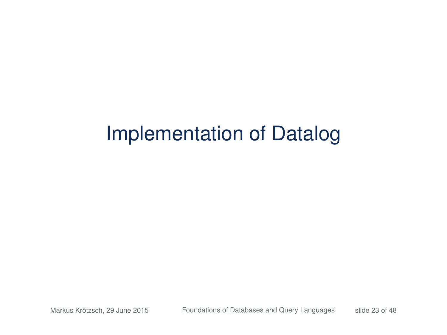# Implementation of Datalog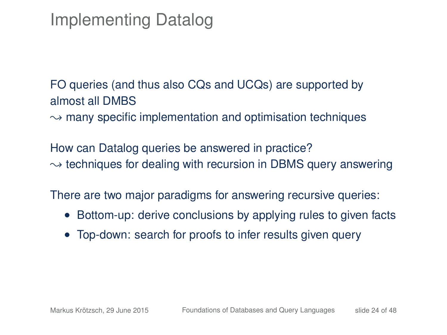# Implementing Datalog

FO queries (and thus also CQs and UCQs) are supported by almost all DMBS  $\rightarrow$  many specific implementation and optimisation techniques

How can Datalog queries be answered in practice?  $\rightarrow$  techniques for dealing with recursion in DBMS query answering

There are two major paradigms for answering recursive queries:

- Bottom-up: derive conclusions by applying rules to given facts
- Top-down: search for proofs to infer results given query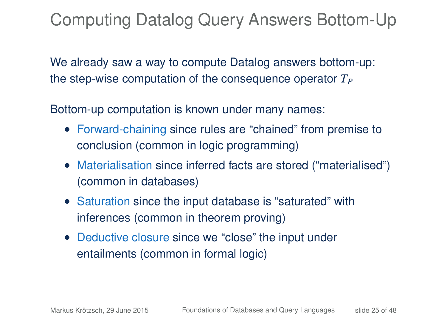# Computing Datalog Query Answers Bottom-Up

We already saw a way to compute Datalog answers bottom-up: the step-wise computation of the consequence operator *T<sup>P</sup>*

Bottom-up computation is known under many names:

- Forward-chaining since rules are "chained" from premise to conclusion (common in logic programming)
- Materialisation since inferred facts are stored ("materialised") (common in databases)
- Saturation since the input database is "saturated" with inferences (common in theorem proving)
- Deductive closure since we "close" the input under entailments (common in formal logic)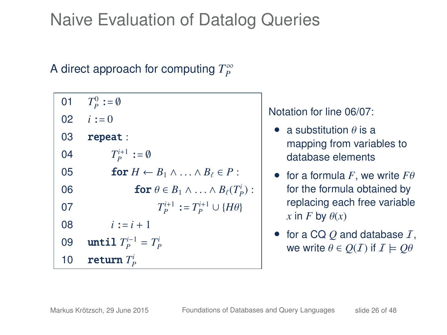# Naive Evaluation of Datalog Queries

### A direct approach for computing  $T_P^{\infty}$

| 01 | $T_p^0 := \emptyset$                                           |
|----|----------------------------------------------------------------|
|    | 02 $i := 0$                                                    |
| 03 | repeat:                                                        |
| 04 | $T_P^{i+1} := \emptyset$                                       |
| 05 | for $H \leftarrow B_1 \wedge \ldots \wedge B_\ell \in P$ :     |
| 06 | <b>for</b> $\theta \in B_1 \wedge \ldots \wedge B_\ell(T_p)$ : |
| 07 | $T_P^{i+1} := T_P^{i+1} \cup \{H\theta\}$                      |
| 08 | $i := i + 1$                                                   |
| 09 | until $T_P^{i-1} = T_P^i$                                      |
| 10 | return $T_p^i$                                                 |

#### Notation for line 06/07:

- a substitution  $\theta$  is a mapping from variables to database elements
- for a formula  $F$ , we write  $F\theta$ for the formula obtained by replacing each free variable  $x$  in *F* by  $\theta(x)$
- for a CQ *Q* and database I, we write  $\theta \in O(I)$  if  $I \models O\theta$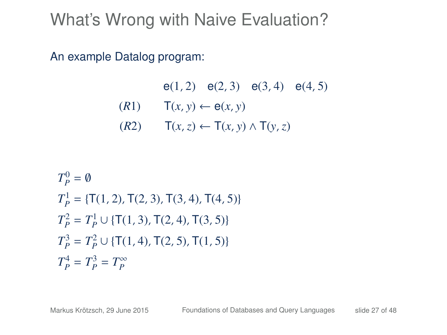An example Datalog program:

e(1, 2) e(2, 3) e(3, 4) e(4, 5)  $(T(x, y) \leftarrow e(x, y)$ (*R*2) T(*x*,*z*) ← T(*x*, *y*) ∧ T(*y*,*z*)

$$
T_P^0 = \emptyset
$$
  
\n
$$
T_P^1 = \{\mathsf{T}(1, 2), \mathsf{T}(2, 3), \mathsf{T}(3, 4), \mathsf{T}(4, 5)\}
$$
  
\n
$$
T_P^2 = T_P^1 \cup \{\mathsf{T}(1, 3), \mathsf{T}(2, 4), \mathsf{T}(3, 5)\}
$$
  
\n
$$
T_P^3 = T_P^2 \cup \{\mathsf{T}(1, 4), \mathsf{T}(2, 5), \mathsf{T}(1, 5)\}
$$
  
\n
$$
T_P^4 = T_P^3 = T_P^\infty
$$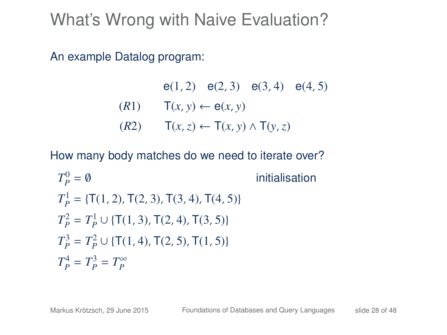An example Datalog program:

e(1, 2) e(2, 3) e(3, 4) e(4, 5)  $(T(x, y) \leftarrow e(x, y)$ (*R*2) T(*x*,*z*) ← T(*x*, *y*) ∧ T(*y*,*z*)

$$
T_P^0 = 0
$$
 initialisation  
\n
$$
T_P^1 = \{T(1, 2), T(2, 3), T(3, 4), T(4, 5)\}
$$
  
\n
$$
T_P^2 = T_P^1 \cup \{T(1, 3), T(2, 4), T(3, 5)\}
$$
  
\n
$$
T_P^3 = T_P^2 \cup \{T(1, 4), T(2, 5), T(1, 5)\}
$$
  
\n
$$
T_P^4 = T_P^3 = T_P^{\infty}
$$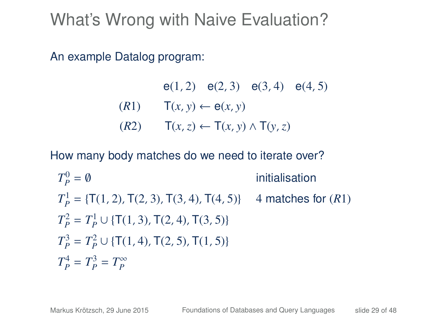An example Datalog program:

e(1, 2) e(2, 3) e(3, 4) e(4, 5)  $(T(x, y) \leftarrow e(x, y)$ (*R*2) T(*x*,*z*) ← T(*x*, *y*) ∧ T(*y*,*z*)

$$
T_P^0 = \emptyset
$$
 initialization  
\n
$$
T_P^1 = \{T(1, 2), T(2, 3), T(3, 4), T(4, 5)\} \quad \text{4 matches for (R1)}
$$
\n
$$
T_P^2 = T_P^1 \cup \{T(1, 3), T(2, 4), T(3, 5)\}
$$
\n
$$
T_P^3 = T_P^2 \cup \{T(1, 4), T(2, 5), T(1, 5)\}
$$
\n
$$
T_P^4 = T_P^3 = T_P^\infty
$$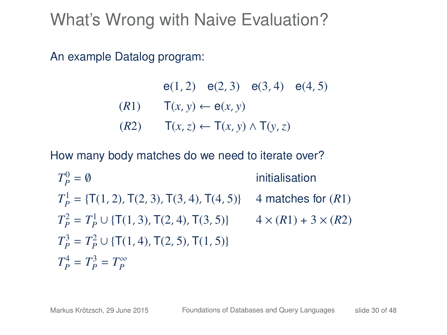An example Datalog program:

e(1, 2) e(2, 3) e(3, 4) e(4, 5)  $(T(x, y) \leftarrow e(x, y)$ (*R*2) T(*x*,*z*) ← T(*x*, *y*) ∧ T(*y*,*z*)

$$
T_P^0 = \emptyset
$$
 initialization  
\n
$$
T_P^1 = \{T(1, 2), T(2, 3), T(3, 4), T(4, 5)\} \quad \text{4 matches for (R1)}
$$
\n
$$
T_P^2 = T_P^1 \cup \{T(1, 3), T(2, 4), T(3, 5)\} \quad \text{4} \times (R1) + 3 \times (R2)
$$
\n
$$
T_P^3 = T_P^2 \cup \{T(1, 4), T(2, 5), T(1, 5)\}
$$
\n
$$
T_P^4 = T_P^3 = T_P^\infty
$$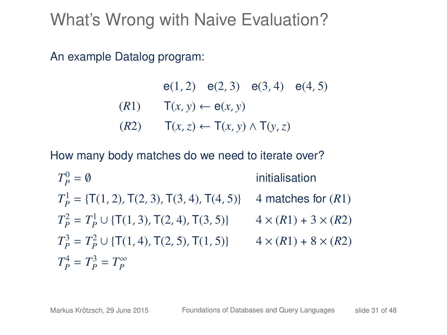An example Datalog program:

e(1, 2) e(2, 3) e(3, 4) e(4, 5)  $(T(x, y) \leftarrow e(x, y)$ (*R*2) T(*x*,*z*) ← T(*x*, *y*) ∧ T(*y*,*z*)

$$
T_P^0 = \emptyset
$$
 initialization  
\n
$$
T_P^1 = \{T(1, 2), T(2, 3), T(3, 4), T(4, 5)\} \quad \text{4 matches for (R1)}
$$
\n
$$
T_P^2 = T_P^1 \cup \{T(1, 3), T(2, 4), T(3, 5)\} \quad \text{4} \times (R1) + 3 \times (R2)
$$
\n
$$
T_P^3 = T_P^2 \cup \{T(1, 4), T(2, 5), T(1, 5)\} \quad \text{4} \times (R1) + 8 \times (R2)
$$
\n
$$
T_P^4 = T_P^3 = T_P^\infty
$$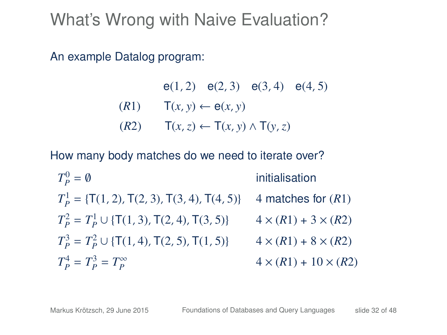An example Datalog program:

e(1, 2) e(2, 3) e(3, 4) e(4, 5)  $(T(x, y) \leftarrow e(x, y)$ (*R*2) T(*x*,*z*) ← T(*x*, *y*) ∧ T(*y*,*z*)

How many body matches do we need to iterate over?

 $T_P^0$ initialisation  $T_P^1$  = {T(1, 2), T(2, 3), T(3, 4), T(4, 5)} 4 matches for (*R*1)  $T_P^2 = T_P^1 \cup \{ \textsf{T}(1, 3), \textsf{T}(2, 4), \textsf{T}(3, 5) \}$  4 × (*R*1) + 3 × (*R*2)  $T_P^3 = T_P^2 \cup \{ \mathsf{T}(1, 4), \mathsf{T}(2, 5), \mathsf{T}(1, 5) \}$  4 × (*R*1) + 8 × (*R*2)  $T_P^4 = T_P^3 = T_P^{\infty}$  $4 \times (R1) + 10 \times (R2)$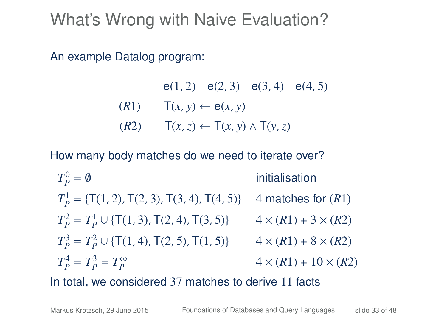An example Datalog program:

e(1, 2) e(2, 3) e(3, 4) e(4, 5)  $(T(x, y) \leftarrow e(x, y)$ (*R*2) T(*x*,*z*) ← T(*x*, *y*) ∧ T(*y*,*z*)

How many body matches do we need to iterate over?

 $T_P^0$ initialisation  $T_P^1$  = {T(1, 2), T(2, 3), T(3, 4), T(4, 5)} 4 matches for (*R*1)  $T_P^2 = T_P^1 \cup \{ \textsf{T}(1, 3), \textsf{T}(2, 4), \textsf{T}(3, 5) \}$  4 × (*R*1) + 3 × (*R*2)  $T_P^3 = T_P^2 \cup \{ \mathsf{T}(1, 4), \mathsf{T}(2, 5), \mathsf{T}(1, 5) \}$  4 × (*R*1) + 8 × (*R*2)  $T_P^4 = T_P^3 = T_P^{\infty}$  $4 \times (R1) + 10 \times (R2)$ 

In total, we considered 37 matches to derive 11 facts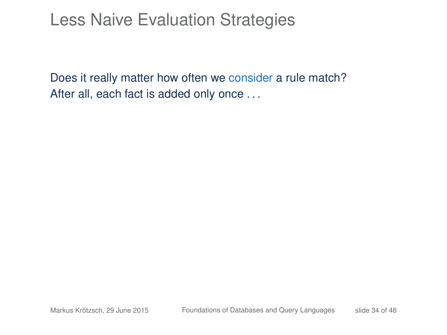### Less Naive Evaluation Strategies

Does it really matter how often we consider a rule match? After all, each fact is added only once ...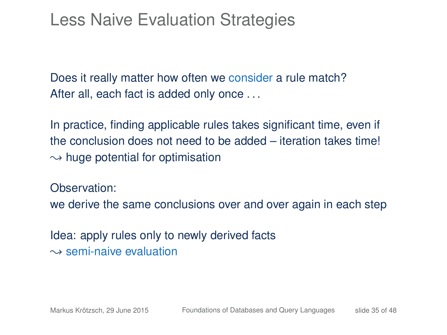### Less Naive Evaluation Strategies

Does it really matter how often we consider a rule match? After all, each fact is added only once . . .

In practice, finding applicable rules takes significant time, even if the conclusion does not need to be added – iteration takes time!  $\rightarrow$  huge potential for optimisation

Observation:

we derive the same conclusions over and over again in each step

Idea: apply rules only to newly derived facts  $\rightarrow$  semi-naive evaluation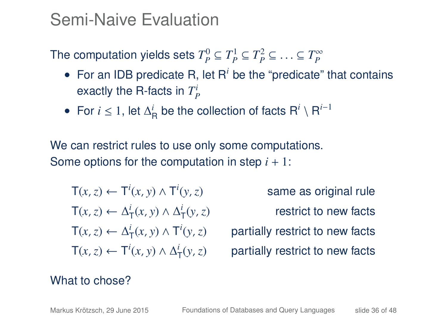### Semi-Naive Evaluation

The computation yields sets  $T_p^0 \subseteq T_p^1 \subseteq T_p^2 \subseteq \ldots \subseteq T_p^{\infty}$ 

- For an IDB predicate R, let R<sup>*i*</sup> be the "predicate" that contains exactly the R-facts in  $T_P^i$
- For  $i \leq 1$ , let  $\Delta_R^i$  be the collection of facts  $R^i \setminus R^{i-1}$

We can restrict rules to use only some computations. Some options for the computation in step  $i + 1$ :

$$
T(x, z) \leftarrow T^i(x, y) \land T^i(y, z)
$$
  
\n
$$
T(x, z) \leftarrow \Delta_T^i(x, y) \land \Delta_T^i(y, z)
$$
  
\n
$$
T(x, z) \leftarrow \Delta_T^i(x, y) \land T^i(y, z)
$$
  
\n
$$
T(x, z) \leftarrow T^i(x, y) \land \Delta_T^i(y, z)
$$

same as original rule (*y*,*z*) restrict to new facts (*y*,*z*) partially restrict to new facts partially restrict to new facts

#### What to chose?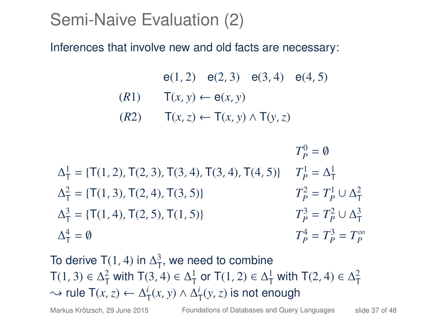### Semi-Naive Evaluation (2)

Inferences that involve new and old facts are necessary:

e(1, 2) e(2, 3) e(3, 4) e(4, 5)  $(T(x, y) \leftarrow e(x, y)$ (*R*2) T(*x*,*z*) ← T(*x*, *y*) ∧ T(*y*,*z*)

 $T_P^0 = \emptyset$  $\Delta^1_T = \{T(1, 2), T(2, 3), T(3, 4), T(3, 4), T(4, 5)\}$   $T_P^1 = \Delta^1_T$  $\Delta_{\overline{1}}^2 = {\{\textsf{T}(1, 3), \textsf{T}(2, 4), \textsf{T}(3, 5)\}}$  *T*  $T_P^2 = T_P^1 \cup \Delta_T^2$  $\Delta_{\overline{1}}^3 = {\{\overline{1}(1, 4), \overline{1}(2, 5), \overline{1}(1, 5)\}}$  *T*  $T_P^3 = T_P^2 \cup \Delta_T^3$  $\Delta_{\mathsf{T}}^4$  $= \emptyset$  *T*  $T_P^4 = T_P^3 = T_P^{\infty}$ 

To derive T(1, 4) in  $\Delta^3$ , we need to combine T(1, 3)  $\in \Delta^2_T$  with T(3, 4)  $\in \Delta^1_T$  or T(1, 2)  $\in \Delta^1_T$  with T(2, 4)  $\in \Delta^2_T$  $\rightarrow$  rule T(*x*, *z*) ←  $\Delta^i_T(x, y) \wedge \Delta^i_T(y, z)$  is not enough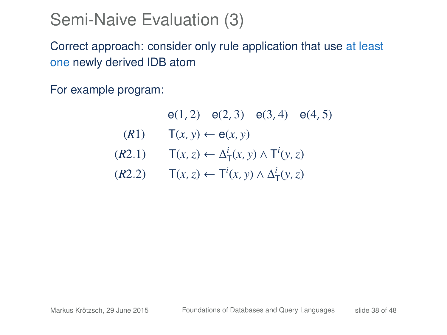### Semi-Naive Evaluation (3)

Correct approach: consider only rule application that use at least one newly derived IDB atom

For example program:

e(1, 2) e(2, 3) e(3, 4) e(4, 5)  $(T(x, y) \leftarrow \theta(x, y)$  $(T(X, z) \leftarrow \Delta^i(\chi, y) \wedge T^i(y, z)$  $(T(x, z)$  ←  $T^i(x, y) \land \Delta^i_T(y, z)$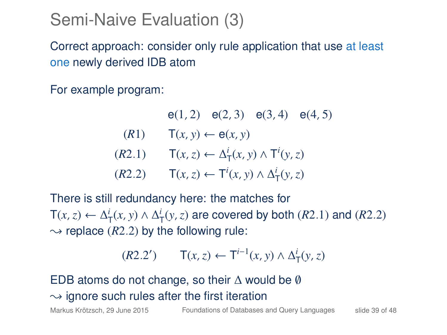#### Semi-Naive Evaluation (3)

Correct approach: consider only rule application that use at least one newly derived IDB atom

For example program:

e(1, 2) e(2, 3) e(3, 4) e(4, 5)  $(T(x, y) \leftarrow e(x, y)$  $(T(X, z) \leftarrow \Delta^i(\chi, y) \wedge T^i(y, z)$  $(T(x, z)$  ←  $T^i(x, y) \land \Delta^i_T(y, z)$ 

There is still redundancy here: the matches for  $T(x, z)$  ←  $\Delta_T^i(x, y) \wedge \Delta_T^i(y, z)$  are covered by both (*R*2.1) and (*R*2.2)  $\rightarrow$  replace (*R*2.2) by the following rule:

$$
(R2.2') \qquad \mathsf{T}(x,z) \leftarrow \mathsf{T}^{i-1}(x,y) \land \Delta^i_{\mathsf{T}}(y,z)
$$

#### EDB atoms do not change, so their  $\Delta$  would be  $\emptyset$  $\rightarrow$  ignore such rules after the first iteration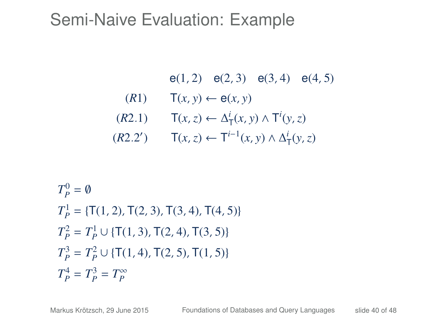- e(1, 2) e(2, 3) e(3, 4) e(4, 5)
- $(T(R1)$   $T(x, y) \leftarrow \theta(x, y)$
- $(T(x, z) \leftarrow \Delta^i(T(x, y) \wedge T^i(y, z))$
- $(T(R2.2')$  T(*x*, *z*) ← T<sup>*i*−1</sup>(*x*, *y*) ∧  $\Delta^i_T(y, z)$

$$
T_P^0 = \emptyset
$$
  
\n
$$
T_P^1 = \{T(1, 2), T(2, 3), T(3, 4), T(4, 5)\}
$$
  
\n
$$
T_P^2 = T_P^1 \cup \{T(1, 3), T(2, 4), T(3, 5)\}
$$
  
\n
$$
T_P^3 = T_P^2 \cup \{T(1, 4), T(2, 5), T(1, 5)\}
$$
  
\n
$$
T_P^4 = T_P^3 = T_P^{\infty}
$$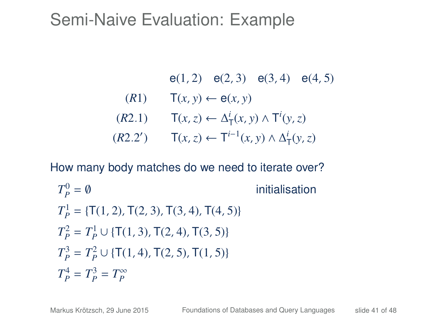\n- $$
e(1, 2) \quad e(2, 3) \quad e(3, 4) \quad e(4, 5)
$$
\n- $(R1) \quad T(x, y) \leftarrow e(x, y)$
\n- $(R2.1) \quad T(x, z) \leftarrow \Delta^i_T(x, y) \wedge T^i(y, z)$
\n- $(R2.2') \quad T(x, z) \leftarrow T^{i-1}(x, y) \wedge \Delta^i_T(y, z)$
\n

$$
T_p^0 = \emptyset
$$
 initialisation  
\n
$$
T_p^1 = \{T(1, 2), T(2, 3), T(3, 4), T(4, 5)\}
$$
  
\n
$$
T_p^2 = T_p^1 \cup \{T(1, 3), T(2, 4), T(3, 5)\}
$$
  
\n
$$
T_p^3 = T_p^2 \cup \{T(1, 4), T(2, 5), T(1, 5)\}
$$
  
\n
$$
T_p^4 = T_p^3 = T_p^{\infty}
$$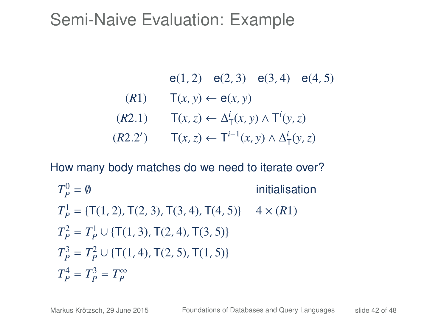\n- $$
e(1, 2) \quad e(2, 3) \quad e(3, 4) \quad e(4, 5)
$$
\n- $(R1) \quad T(x, y) \leftarrow e(x, y)$
\n- $(R2.1) \quad T(x, z) \leftarrow \Delta^i_T(x, y) \wedge T^i(y, z)$
\n- $(R2.2') \quad T(x, z) \leftarrow T^{i-1}(x, y) \wedge \Delta^i_T(y, z)$
\n

$$
T_p^0 = \emptyset
$$
 initialisation  
\n
$$
T_p^1 = \{T(1, 2), T(2, 3), T(3, 4), T(4, 5)\} \quad 4 \times (R1)
$$
  
\n
$$
T_p^2 = T_p^1 \cup \{T(1, 3), T(2, 4), T(3, 5)\}
$$
  
\n
$$
T_p^3 = T_p^2 \cup \{T(1, 4), T(2, 5), T(1, 5)\}
$$
  
\n
$$
T_p^4 = T_p^3 = T_p^{\infty}
$$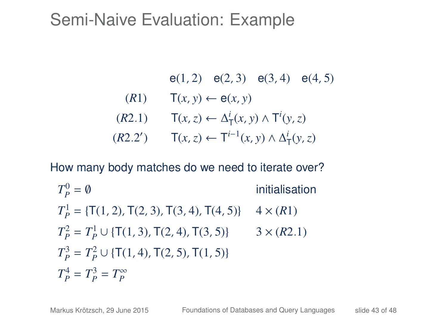\n- $$
e(1, 2) \quad e(2, 3) \quad e(3, 4) \quad e(4, 5)
$$
\n- $(R1) \quad T(x, y) \leftarrow e(x, y)$
\n- $(R2.1) \quad T(x, z) \leftarrow \Delta^i_T(x, y) \wedge T^i(y, z)$
\n- $(R2.2') \quad T(x, z) \leftarrow T^{i-1}(x, y) \wedge \Delta^i_T(y, z)$
\n

$$
T_p^0 = \emptyset
$$
 initialisation  
\n
$$
T_p^1 = \{T(1, 2), T(2, 3), T(3, 4), T(4, 5)\} \quad 4 \times (R1)
$$
  
\n
$$
T_p^2 = T_p^1 \cup \{T(1, 3), T(2, 4), T(3, 5)\} \quad 3 \times (R2.1)
$$
  
\n
$$
T_p^3 = T_p^2 \cup \{T(1, 4), T(2, 5), T(1, 5)\}
$$
  
\n
$$
T_p^4 = T_p^3 = T_p^{\infty}
$$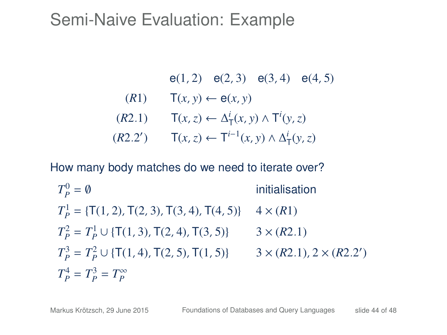\n- $$
e(1, 2) \quad e(2, 3) \quad e(3, 4) \quad e(4, 5)
$$
\n- $(R1) \quad T(x, y) \leftarrow e(x, y)$
\n- $(R2.1) \quad T(x, z) \leftarrow \Delta^i_T(x, y) \wedge T^i(y, z)$
\n- $(R2.2') \quad T(x, z) \leftarrow T^{i-1}(x, y) \wedge \Delta^i_T(y, z)$
\n

$$
T_p^0 = \emptyset
$$
 initialisation  
\n
$$
T_p^1 = \{T(1, 2), T(2, 3), T(3, 4), T(4, 5)\} \quad 4 \times (R1)
$$
  
\n
$$
T_p^2 = T_p^1 \cup \{T(1, 3), T(2, 4), T(3, 5)\} \quad 3 \times (R2.1)
$$
  
\n
$$
T_p^3 = T_p^2 \cup \{T(1, 4), T(2, 5), T(1, 5)\} \quad 3 \times (R2.1), 2 \times (R2.2')
$$
  
\n
$$
T_p^4 = T_p^3 = T_p^{\infty}
$$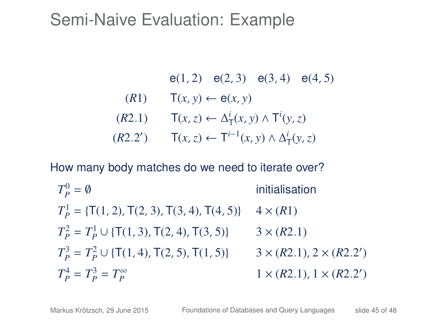\n- $$
e(1, 2) \quad e(2, 3) \quad e(3, 4) \quad e(4, 5)
$$
\n- $(R1) \quad T(x, y) \leftarrow e(x, y)$
\n- $(R2.1) \quad T(x, z) \leftarrow \Delta^i_T(x, y) \wedge T^i(y, z)$
\n- $(R2.2') \quad T(x, z) \leftarrow T^{i-1}(x, y) \wedge \Delta^i_T(y, z)$
\n

$$
T_p^0 = \emptyset
$$
 initialisation  
\n
$$
T_p^1 = \{T(1, 2), T(2, 3), T(3, 4), T(4, 5)\} \quad 4 \times (R1)
$$
  
\n
$$
T_p^2 = T_p^1 \cup \{T(1, 3), T(2, 4), T(3, 5)\} \quad 3 \times (R2.1)
$$
  
\n
$$
T_p^3 = T_p^2 \cup \{T(1, 4), T(2, 5), T(1, 5)\} \quad 3 \times (R2.1), 2 \times (R2.2')
$$
  
\n
$$
T_p^4 = T_p^3 = T_p^{\infty} \quad 1 \times (R2.1), 1 \times (R2.2')
$$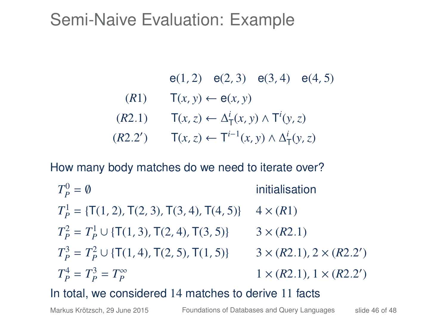\n- $$
e(1, 2) \quad e(2, 3) \quad e(3, 4) \quad e(4, 5)
$$
\n- $(R1) \quad T(x, y) \leftarrow e(x, y)$
\n- $(R2.1) \quad T(x, z) \leftarrow \Delta^i_T(x, y) \wedge T^i(y, z)$
\n- $(R2.2') \quad T(x, z) \leftarrow T^{i-1}(x, y) \wedge \Delta^i_T(y, z)$
\n

How many body matches do we need to iterate over?

$$
T_P^0 = \emptyset
$$
 initialisation  
\n
$$
T_P^1 = \{T(1, 2), T(2, 3), T(3, 4), T(4, 5)\} \quad 4 \times (R1)
$$
  
\n
$$
T_P^2 = T_P^1 \cup \{T(1, 3), T(2, 4), T(3, 5)\} \quad 3 \times (R2.1)
$$
  
\n
$$
T_P^3 = T_P^2 \cup \{T(1, 4), T(2, 5), T(1, 5)\} \quad 3 \times (R2.1), 2 \times (R2.2')
$$
  
\n
$$
T_P^4 = T_P^3 = T_P^{\infty}
$$
  
\n
$$
1 \times (R2.1), 1 \times (R2.2')
$$

In total, we considered 14 matches to derive 11 facts

Markus Krötzsch, 29 June 2015 [Foundations of Databases and Query Languages](#page-0-0) slide 46 of 48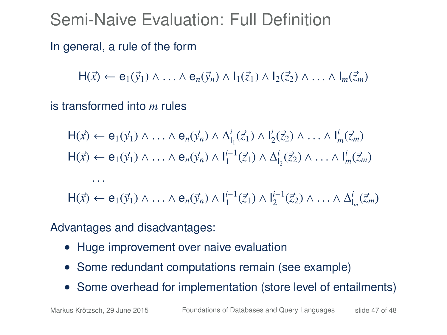## Semi-Naive Evaluation: Full Definition

In general, a rule of the form

 $H(\vec{x}) \leftarrow e_1(\vec{y}_1) \wedge \ldots \wedge e_n(\vec{y}_n) \wedge l_1(\vec{z}_1) \wedge l_2(\vec{z}_2) \wedge \ldots \wedge l_m(\vec{z}_m)$ 

is transformed into *m* rules

 $\cdots$ 

$$
\begin{aligned}\n\mathsf{H}(\vec{x}) &\leftarrow \mathsf{e}_1(\vec{y}_1) \land \ldots \land \mathsf{e}_n(\vec{y}_n) \land \Delta_{\mathsf{l}_1}^i(\vec{z}_1) \land \mathsf{l}_2^i(\vec{z}_2) \land \ldots \land \mathsf{l}_m^i(\vec{z}_m) \\
\mathsf{H}(\vec{x}) &\leftarrow \mathsf{e}_1(\vec{y}_1) \land \ldots \land \mathsf{e}_n(\vec{y}_n) \land \mathsf{l}_1^{i-1}(\vec{z}_1) \land \Delta_{\mathsf{l}_2}^i(\vec{z}_2) \land \ldots \land \mathsf{l}_m^i(\vec{z}_m)\n\end{aligned}
$$

 $H(\vec{x}) \leftarrow e_1(\vec{y}_1) \wedge \ldots \wedge e_n(\vec{y}_n) \wedge I_1^{i-1}(\vec{z}_1) \wedge I_2^{i-1}(\vec{z}_2) \wedge \ldots \wedge \Delta I_m^{i}(\vec{z}_m)$ 

Advantages and disadvantages:

- Huge improvement over naive evaluation
- Some redundant computations remain (see example)
- Some overhead for implementation (store level of entailments)